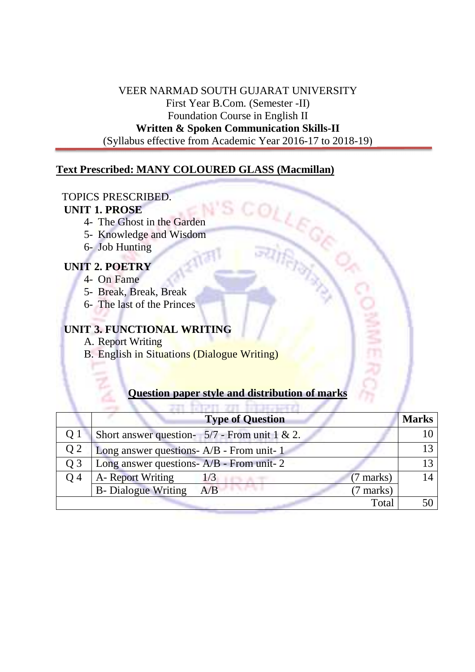VEER NARMAD SOUTH GUJARAT UNIVERSITY First Year B.Com. (Semester -II) Foundation Course in English II **Written & Spoken Communication Skills-II**  (Syllabus effective from Academic Year 2016-17 to 2018-19)

## **Text Prescribed: MANY COLOURED GLASS (Macmillan)**

## TOPICS PRESCRIBED.

## **UNIT 1. PROSE**

- 4- The Ghost in the Garden
- 5- Knowledge and Wisdom
- 6- Job Hunting

## **UNIT 2. POETRY**

- 4- On Fame
- 5- Break, Break, Break
- 6- The last of the Princes

# **UNIT 3. FUNCTIONAL WRITING**

- A. Report Writing
- B. English in Situations (Dialogue Writing)

## **Question paper style and distribution of marks**

|                | <b>Type of Question</b>                         | <b>Marks</b> |  |
|----------------|-------------------------------------------------|--------------|--|
| Q <sub>1</sub> | Short answer question- $5/7$ - From unit 1 & 2. |              |  |
| Q <sub>2</sub> | Long answer questions- A/B - From unit- 1       |              |  |
| O 3            | Long answer questions- A/B - From unit- 2       |              |  |
| O 4            | A- Report Writing<br>$(7$ marks)<br>1/3         |              |  |
|                | <b>B-</b> Dialogue Writing<br>A/B<br>(7 marks)  |              |  |
|                | Total                                           |              |  |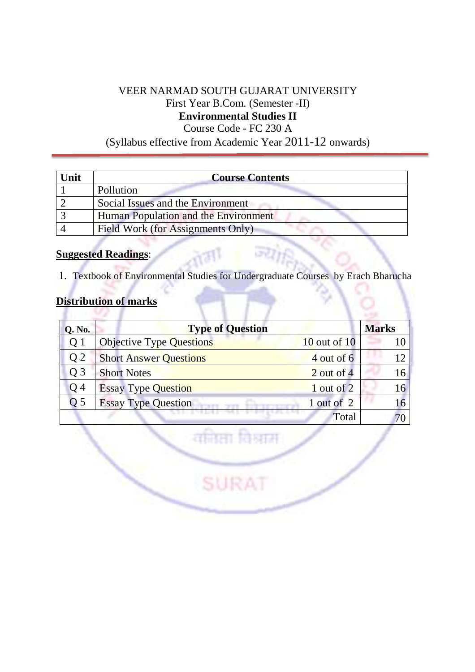# VEER NARMAD SOUTH GUJARAT UNIVERSITY First Year B.Com. (Semester -II) **Environmental Studies II**

Course Code - FC 230 A

(Syllabus effective from Academic Year 2011-12 onwards)

| Unit | <b>Course Contents</b>               |
|------|--------------------------------------|
|      | Pollution                            |
|      | Social Issues and the Environment    |
|      | Human Population and the Environment |
|      | Field Work (for Assignments Only)    |

## **Suggested Readings**:

1. Textbook of Environmental Studies for Undergraduate Courses by Erach Bharucha

# **Distribution of marks**

| <b>Q. No.</b>    | <b>Type of Question</b>         |              | <b>Marks</b> |
|------------------|---------------------------------|--------------|--------------|
| O 1              | <b>Objective Type Questions</b> | 10 out of 10 |              |
| Q <sub>2</sub>   | <b>Short Answer Questions</b>   | 4 out of 6   | 12           |
| $\overline{O}$ 3 | <b>Short Notes</b>              | $2$ out of 4 | 16           |
| O 4              | <b>Essay Type Question</b>      | 1 out of 2   | 16           |
| Q 5              | <b>Essay Type Question</b>      | 1 out of 2   |              |
|                  |                                 | Total        |              |

वमिसा विश्वास

SURAT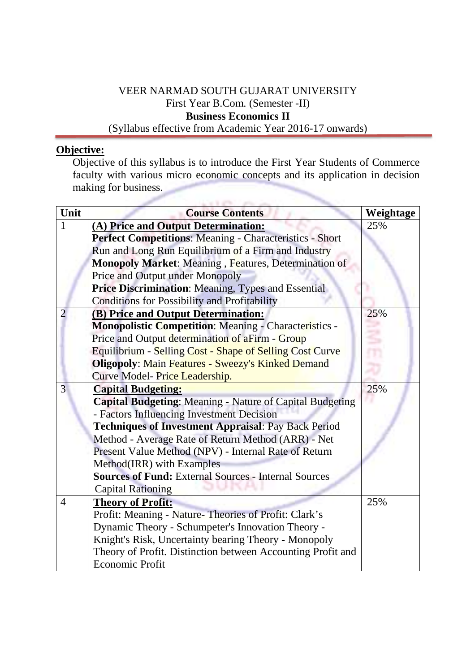## VEER NARMAD SOUTH GUJARAT UNIVERSITY First Year B.Com. (Semester -II) **Business Economics II**  (Syllabus effective from Academic Year 2016-17 onwards)

## **Objective:**

Objective of this syllabus is to introduce the First Year Students of Commerce faculty with various micro economic concepts and its application in decision making for business.

| Unit           | <b>Course Contents</b>                                          | Weightage |
|----------------|-----------------------------------------------------------------|-----------|
| 1              | (A) Price and Output Determination:                             | 25%       |
|                | Perfect Competitions: Meaning - Characteristics - Short         |           |
|                | Run and Long Run Equilibrium of a Firm and Industry             |           |
|                | Monopoly Market: Meaning, Features, Determination of            |           |
|                | Price and Output under Monopoly                                 |           |
|                | <b>Price Discrimination: Meaning, Types and Essential</b>       |           |
|                | <b>Conditions for Possibility and Profitability</b>             |           |
|                | (B) Price and Output Determination:                             | 25%       |
|                | <b>Monopolistic Competition: Meaning - Characteristics -</b>    |           |
|                | Price and Output determination of aFirm - Group                 |           |
|                | Equilibrium - Selling Cost - Shape of Selling Cost Curve        |           |
|                | <b>Oligopoly: Main Features - Sweezy's Kinked Demand</b>        |           |
|                | Curve Model- Price Leadership.                                  |           |
| $\overline{3}$ | <b>Capital Budgeting:</b>                                       | 25%       |
|                | <b>Capital Budgeting:</b> Meaning - Nature of Capital Budgeting |           |
|                | - Factors Influencing Investment Decision                       |           |
|                | <b>Techniques of Investment Appraisal: Pay Back Period</b>      |           |
|                | Method - Average Rate of Return Method (ARR) - Net              |           |
|                | Present Value Method (NPV) - Internal Rate of Return            |           |
|                | Method(IRR) with Examples                                       |           |
|                | <b>Sources of Fund: External Sources - Internal Sources</b>     |           |
|                | <b>Capital Rationing</b>                                        |           |
| $\overline{4}$ | <b>Theory of Profit:</b>                                        | 25%       |
|                | Profit: Meaning - Nature-Theories of Profit: Clark's            |           |
|                | Dynamic Theory - Schumpeter's Innovation Theory -               |           |
|                | Knight's Risk, Uncertainty bearing Theory - Monopoly            |           |
|                | Theory of Profit. Distinction between Accounting Profit and     |           |
|                | <b>Economic Profit</b>                                          |           |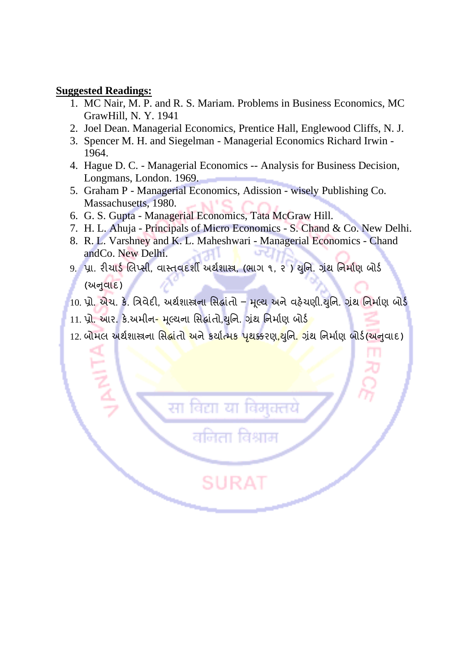#### **Suggested Readings:**

- 1. MC Nair, M. P. and R. S. Mariam. Problems in Business Economics, MC GrawHill, N. Y. 1941
- 2. Joel Dean. Managerial Economics, Prentice Hall, Englewood Cliffs, N. J.
- 3. Spencer M. H. and Siegelman Managerial Economics Richard Irwin 1964.
- 4. Hague D. C. Managerial Economics -- Analysis for Business Decision, Longmans, London. 1969.
- 5. Graham P Managerial Economics, Adission wisely Publishing Co. Massachusetts, 1980.
- 6. G. S. Gupta Managerial Economics, Tata McGraw Hill.
- 7. H. L. Ahuja Principals of Micro Economics S. Chand & Co. New Delhi.
- 8. R. L. Varshney and K. L. Maheshwari Managerial Economics Chand andCo. New Delhi.
- 9. પ્રા. રીચાર્ડ લિપ્સી, વાસ્તવદશી અથેશાસ્ત્ર, (ભાગ ૧, ૨ ) ચુનિ. ગ્રંથ નિર્માણ બોર્ડ (અનવાદ)
- $10.$  પ્રો. એચ. કે. ત્રિવેદી, અર્થશાસ્ત્રના સિદ્ધાંતો મૂલ્ય અને વહેચણી. યુનિ. ગ્રંથ નિર્માણ બોર્ડ
- 11. પ્રો. આર. કે.અમીન- મુલ્યના સિદ્ધાંતો,યુનિ. ગ્રંથ નિર્માણ બોર્ડ

बिटा

सा

<u>12. બોમલ અર્થશાસ્ત્રના સિદ્ધાંતો અને કર્યાત્મક પૃથક્કરણ,થુનિ. ગ્રંથ નિર્માણ બોર્ડ(અનવાદ)</u>

वनिता विश्राम

SURAT

विमचत्तय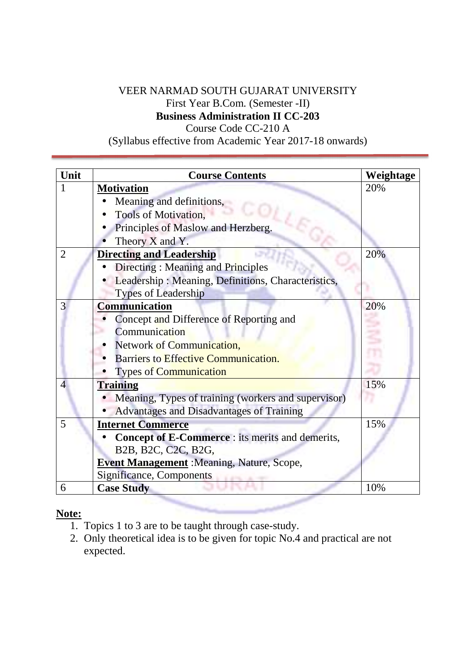# VEER NARMAD SOUTH GUJARAT UNIVERSITY First Year B.Com. (Semester -II) **Business Administration II CC-203**

Course Code CC-210 A

(Syllabus effective from Academic Year 2017-18 onwards)

| Unit           | <b>Course Contents</b>                              | Weightage |
|----------------|-----------------------------------------------------|-----------|
|                | <b>Motivation</b>                                   | 20%       |
|                | Meaning and definitions,                            |           |
|                | Tools of Motivation,                                |           |
|                | Principles of Maslow and Herzberg.                  |           |
|                | Theory X and Y.                                     |           |
| $\overline{2}$ | <b>Directing and Leadership</b>                     | 20%       |
|                | Directing: Meaning and Principles                   |           |
|                | Leadership: Meaning, Definitions, Characteristics,  |           |
|                | <b>Types of Leadership</b>                          |           |
| 3              | <b>Communication</b>                                | 20%       |
|                | Concept and Difference of Reporting and             |           |
|                | Communication                                       |           |
|                | Network of Communication,                           |           |
|                | <b>Barriers to Effective Communication.</b>         |           |
|                | <b>Types of Communication</b>                       |           |
| 4              | <b>Training</b>                                     | 15%       |
|                | Meaning, Types of training (workers and supervisor) |           |
|                | Advantages and Disadvantages of Training            |           |
| 5              | <b>Internet Commerce</b>                            | 15%       |
|                | Concept of E-Commerce : its merits and demerits,    |           |
|                | B2B, B2C, C2C, B2G,                                 |           |
|                | <b>Event Management</b> : Meaning, Nature, Scope,   |           |
|                | <b>Significance, Components</b>                     |           |
| 6              | <b>Case Study</b>                                   | 10%       |
|                |                                                     |           |

## **Note:**

- 1. Topics 1 to 3 are to be taught through case-study.
- 2. Only theoretical idea is to be given for topic No.4 and practical are not expected.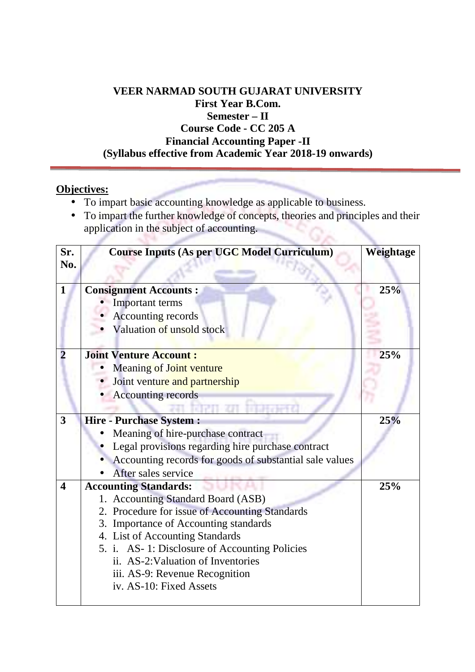# **VEER NARMAD SOUTH GUJARAT UNIVERSITY First Year B.Com. Semester – II Course Code - CC 205 A Financial Accounting Paper -II (Syllabus effective from Academic Year 2018-19 onwards)**

# **Objectives:**

- To impart basic accounting knowledge as applicable to business.
- To impart the further knowledge of concepts, theories and principles and their application in the subject of accounting. SV.

| Sr.                     | <b>Course Inputs (As per UGC Model Curriculum)</b>      | Weightage |
|-------------------------|---------------------------------------------------------|-----------|
| No.                     |                                                         |           |
| 1                       | <b>Consignment Accounts:</b>                            | 25%       |
|                         | Important terms                                         |           |
|                         | <b>Accounting records</b>                               |           |
|                         | Valuation of unsold stock                               |           |
|                         |                                                         |           |
|                         | <b>Joint Venture Account:</b>                           | 25%       |
|                         | <b>Meaning of Joint venture</b>                         |           |
|                         | Joint venture and partnership                           |           |
|                         | <b>Accounting records</b>                               |           |
|                         |                                                         |           |
| 3                       | <b>Hire - Purchase System:</b>                          | 25%       |
|                         | Meaning of hire-purchase contract                       |           |
|                         | Legal provisions regarding hire purchase contract       |           |
|                         | Accounting records for goods of substantial sale values |           |
|                         | After sales service                                     |           |
| $\overline{\mathbf{4}}$ | <b>Accounting Standards:</b>                            | 25%       |
|                         | 1. Accounting Standard Board (ASB)                      |           |
|                         | 2. Procedure for issue of Accounting Standards          |           |
|                         | 3. Importance of Accounting standards                   |           |
|                         | 4. List of Accounting Standards                         |           |
|                         | 5. i. AS-1: Disclosure of Accounting Policies           |           |
|                         | ii. AS-2: Valuation of Inventories                      |           |
|                         | iii. AS-9: Revenue Recognition                          |           |
|                         | iv. AS-10: Fixed Assets                                 |           |
|                         |                                                         |           |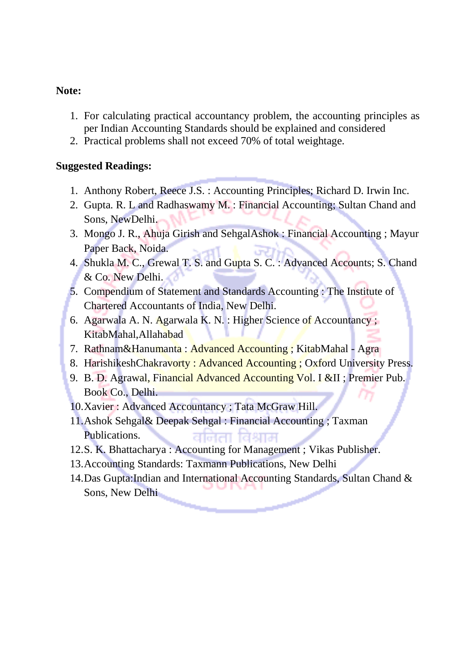## **Note:**

- 1. For calculating practical accountancy problem, the accounting principles as per Indian Accounting Standards should be explained and considered
- 2. Practical problems shall not exceed 70% of total weightage.

# **Suggested Readings:**

- 1. Anthony Robert, Reece J.S. : Accounting Principles; Richard D. Irwin Inc.
- 2. Gupta. R. L and Radhaswamy M. : Financial Accounting; Sultan Chand and Sons, NewDelhi.
- 3. Mongo J. R., Ahuja Girish and SehgalAshok : Financial Accounting ; Mayur Paper Back, Noida.
- 4. Shukla M. C., Grewal T. S. and Gupta S. C. : Advanced Accounts; S. Chand & Co. New Delhi.
- 5. Compendium of Statement and Standards Accounting : The Institute of Chartered Accountants of India, New Delhi.
- 6. Agarwala A. N. Agarwala K. N. : Higher Science of Accountancy ; KitabMahal,Allahabad
- 7. Rathnam&Hanumanta : Advanced Accounting ; KitabMahal Agra
- 8. HarishikeshChakravorty : Advanced Accounting ; Oxford University Press.
- 9. B. D. Agrawal, Financial Advanced Accounting Vol. I ⅈ Premier Pub. Book Co., Delhi.
- 10.Xavier : Advanced Accountancy ; Tata McGraw Hill.
- 11.Ashok Sehgal& Deepak Sehgal : Financial Accounting ; Taxman Publications. सीनता हि था स
- 12.S. K. Bhattacharya : Accounting for Management ; Vikas Publisher.
- 13.Accounting Standards: Taxmann Publications, New Delhi
- 14.Das Gupta:Indian and International Accounting Standards, Sultan Chand & Sons, New Delhi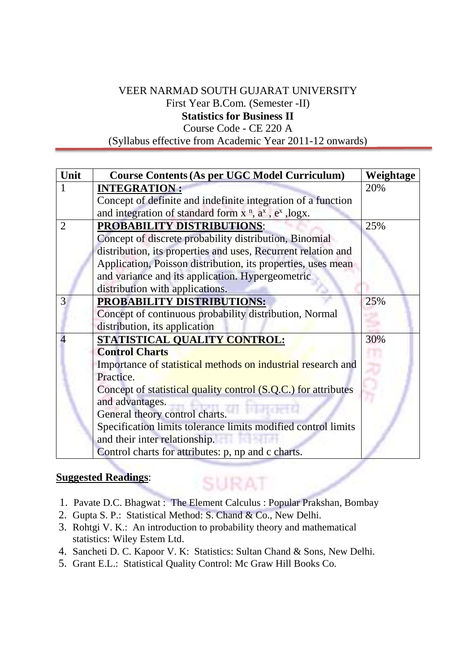# VEER NARMAD SOUTH GUJARAT UNIVERSITY First Year B.Com. (Semester -II)

**Statistics for Business II**  Course Code - CE 220 A

(Syllabus effective from Academic Year 2011-12 onwards)

| Unit           | <b>Course Contents (As per UGC Model Curriculum)</b>           | Weightage |
|----------------|----------------------------------------------------------------|-----------|
|                | <b>INTEGRATION:</b>                                            | 20%       |
|                | Concept of definite and indefinite integration of a function   |           |
|                | and integration of standard form $xn$ , $ax$ , $ex$ , logx.    |           |
| $\overline{2}$ | <b>PROBABILITY DISTRIBUTIONS:</b>                              | 25%       |
|                | Concept of discrete probability distribution, Binomial         |           |
|                | distribution, its properties and uses, Recurrent relation and  |           |
|                | Application, Poisson distribution, its properties, uses mean   |           |
|                | and variance and its application. Hypergeometric               |           |
|                | distribution with applications.                                |           |
| 3              | <b>PROBABILITY DISTRIBUTIONS:</b>                              | 25%       |
|                | Concept of continuous probability distribution, Normal         |           |
|                | distribution, its application                                  |           |
|                | STATISTICAL QUALITY CONTROL:                                   | 30%       |
|                | <b>Control Charts</b>                                          |           |
|                | Importance of statistical methods on industrial research and   |           |
|                | Practice.                                                      |           |
|                | Concept of statistical quality control (S.Q.C.) for attributes |           |
|                | and advantages.                                                |           |
|                | General theory control charts.                                 |           |
|                | Specification limits tolerance limits modified control limits  |           |
|                | and their inter relationship.                                  |           |
|                | Control charts for attributes: p, np and c charts.             |           |

## **Suggested Readings**:

1. Pavate D.C. Bhagwat : The Element Calculus : Popular Prakshan, Bombay

SURAT

- 2. Gupta S. P.: Statistical Method: S. Chand & Co., New Delhi.
- 3. Rohtgi V. K.: An introduction to probability theory and mathematical statistics: Wiley Estem Ltd.
- 4. Sancheti D. C. Kapoor V. K: Statistics: Sultan Chand & Sons, New Delhi.
- 5. Grant E.L.: Statistical Quality Control: Mc Graw Hill Books Co.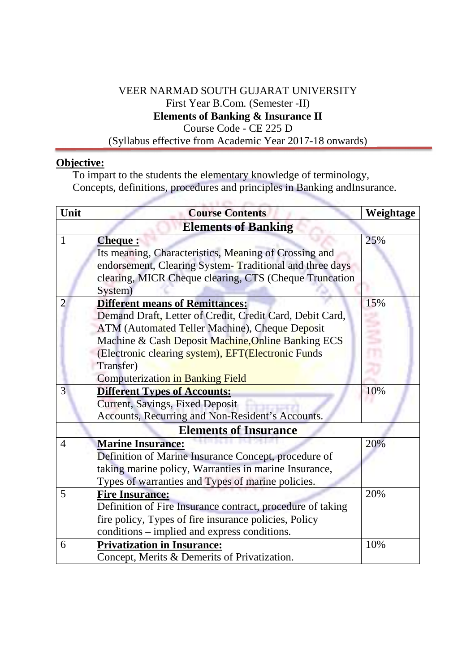# VEER NARMAD SOUTH GUJARAT UNIVERSITY First Year B.Com. (Semester -II) **Elements of Banking & Insurance II**  Course Code - CE 225 D

(Syllabus effective from Academic Year 2017-18 onwards)

## **Objective:**

To impart to the students the elementary knowledge of terminology, Concepts, definitions, procedures and principles in Banking andInsurance.

| Unit | <b>Course Contents</b>                                     | Weightage |
|------|------------------------------------------------------------|-----------|
|      | <b>Elements of Banking</b>                                 |           |
| 1    | <b>Cheque:</b>                                             | 25%       |
|      | Its meaning, Characteristics, Meaning of Crossing and      |           |
|      | endorsement, Clearing System-Traditional and three days    |           |
|      | clearing, MICR Cheque clearing, CTS (Cheque Truncation     |           |
|      | System)                                                    |           |
| 2    | <b>Different means of Remittances:</b>                     | 15%       |
|      | Demand Draft, Letter of Credit, Credit Card, Debit Card,   |           |
|      | ATM (Automated Teller Machine), Cheque Deposit             |           |
|      | Machine & Cash Deposit Machine, Online Banking ECS         |           |
|      | (Electronic clearing system), EFT(Electronic Funds         |           |
|      | Transfer)                                                  |           |
|      | <b>Computerization in Banking Field</b>                    |           |
| 3    | <b>Different Types of Accounts:</b>                        | 10%       |
|      | Current, Savings, Fixed Deposit                            |           |
|      | Accounts, Recurring and Non-Resident's Accounts.           |           |
|      | <b>Elements of Insurance</b>                               |           |
| 4    | <b>Marine Insurance:</b>                                   | 20%       |
|      | Definition of Marine Insurance Concept, procedure of       |           |
|      | taking marine policy, Warranties in marine Insurance,      |           |
|      | Types of warranties and Types of marine policies.          |           |
| 5    | <b>Fire Insurance:</b>                                     | 20%       |
|      | Definition of Fire Insurance contract, procedure of taking |           |
|      | fire policy, Types of fire insurance policies, Policy      |           |
|      | conditions – implied and express conditions.               |           |
| 6    | <b>Privatization in Insurance:</b>                         | 10%       |
|      | Concept, Merits & Demerits of Privatization.               |           |